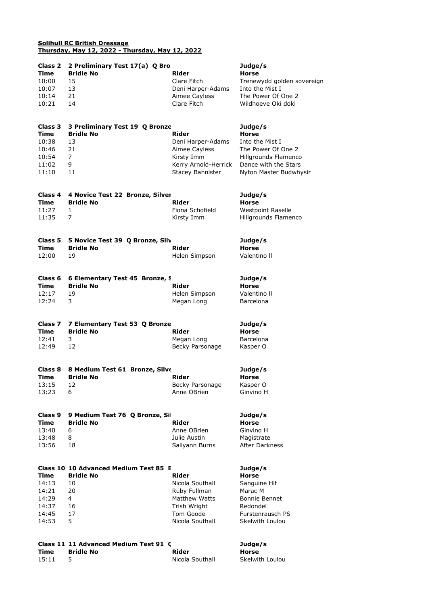## **Solihull RC British Dressage Thursday, May 12, 2022 - Thursday, May 12, 2022**

| Class 2<br>Time | 2 Preliminary Test 17(a) Q Bro<br><b>Bridle No</b><br>Rider |                      | Judge/s<br><b>Horse</b>    |  |
|-----------------|-------------------------------------------------------------|----------------------|----------------------------|--|
| 10:00           | 15                                                          | Clare Fitch          | Trenewydd golden sovereign |  |
| 10:07           | 13                                                          | Deni Harper-Adams    | Into the Mist I            |  |
| 10:14           | 21                                                          | Aimee Cayless        | The Power Of One 2         |  |
| 10:21           | 14                                                          | Clare Fitch          | Wildhoeve Oki doki         |  |
| Class 3         | 3 Preliminary Test 19 Q Bronze                              |                      | Judge/s                    |  |
| Time            | <b>Bridle No</b>                                            | <b>Rider</b>         | <b>Horse</b>               |  |
| 10:38           | 13                                                          | Deni Harper-Adams    | Into the Mist I            |  |
| 10:46           | 21                                                          | Aimee Cayless        | The Power Of One 2         |  |
| 10:54           | 7                                                           | Kirsty Imm           | Hillgrounds Flamenco       |  |
| 11:02           | 9                                                           | Kerry Arnold-Herrick | Dance with the Stars       |  |
| 11:10           | 11                                                          | Stacey Bannister     | Nyton Master Budwhysir     |  |
| Class 4         | 4 Novice Test 22 Bronze, Silver                             |                      | Judge/s                    |  |
| Time            | <b>Bridle No</b>                                            | <b>Rider</b>         | Horse                      |  |
| 11:27           | 1                                                           | Fiona Schofield      | <b>Westpoint Raselle</b>   |  |
| 11:35           | 7                                                           | Kirsty Imm           | Hillgrounds Flamenco       |  |
|                 |                                                             |                      |                            |  |
| Class 5         | 5 Novice Test 39 Q Bronze, Silv                             |                      | Judge/s                    |  |
| Time            | <b>Bridle No</b>                                            | Rider                | <b>Horse</b>               |  |
| 12:00           | 19                                                          | Helen Simpson        | Valentino II               |  |
| Class 6         | 6 Elementary Test 45 Bronze, 9                              |                      | Judge/s                    |  |
| Time            | <b>Bridle No</b>                                            | Rider                | <b>Horse</b>               |  |
| 12:17           | 19                                                          | Helen Simpson        | Valentino II               |  |
| 12:24           | 3                                                           | Megan Long           | <b>Barcelona</b>           |  |
| Class 7         | 7 Elementary Test 53 Q Bronze                               |                      | Judge/s                    |  |
| Time            | <b>Bridle No</b>                                            | <b>Rider</b>         | <b>Horse</b>               |  |
| 12:41           | 3                                                           | Megan Long           | Barcelona                  |  |
| 12:49           | 12                                                          | Becky Parsonage      | Kasper O                   |  |
| Class 8         | 8 Medium Test 61 Bronze, Silve                              |                      | Judge/s                    |  |
| Time            | <b>Bridle No</b>                                            | Rider                | Horse                      |  |
| 13:15           | 12                                                          | Becky Parsonage      | Kasper O                   |  |
| 13:23           | 6                                                           | Anne OBrien          | Ginvino H                  |  |
|                 |                                                             |                      |                            |  |
| Class 9         | 9 Medium Test 76 Q Bronze, Sil                              |                      | Judge/s                    |  |
| <b>Time</b>     | <b>Bridle No</b>                                            | Rider                | <b>Horse</b>               |  |
| 13:40           | 6                                                           | Anne OBrien          | Ginvino H                  |  |
| 13:48           | 8                                                           | Julie Austin         | Magistrate                 |  |
| 13:56           | 18                                                          | Sallyann Burns       | After Darkness             |  |
|                 | Class 10 10 Advanced Medium Test 85 E                       |                      | Judge/s                    |  |
| Time            | <b>Bridle No</b>                                            | Rider                | <b>Horse</b>               |  |
| 14:13           | 10                                                          | Nicola Southall      | Sanguine Hit               |  |
| 14:21           | 20                                                          | Ruby Fullman         | Marac M                    |  |
| 14:29           | 4                                                           | <b>Matthew Watts</b> | <b>Bonnie Bennet</b>       |  |
| 14:37           | 16                                                          | Trish Wright         | Redondel                   |  |
| 14:45           | 17                                                          | Tom Goode            | Furstenrausch PS           |  |
| 14:53           | 5                                                           | Nicola Southall      | Skelwith Loulou            |  |
|                 |                                                             |                      |                            |  |

## **Class 11 11 Advanced Medium Test 91 (See Broom Broadband Bronze, Bronze, Bronze, Bronze, Bronze, Bronze, Bronze Time Bridle No Rider Horse** 15:11 5 Nicola Southall Skelwith Loulou